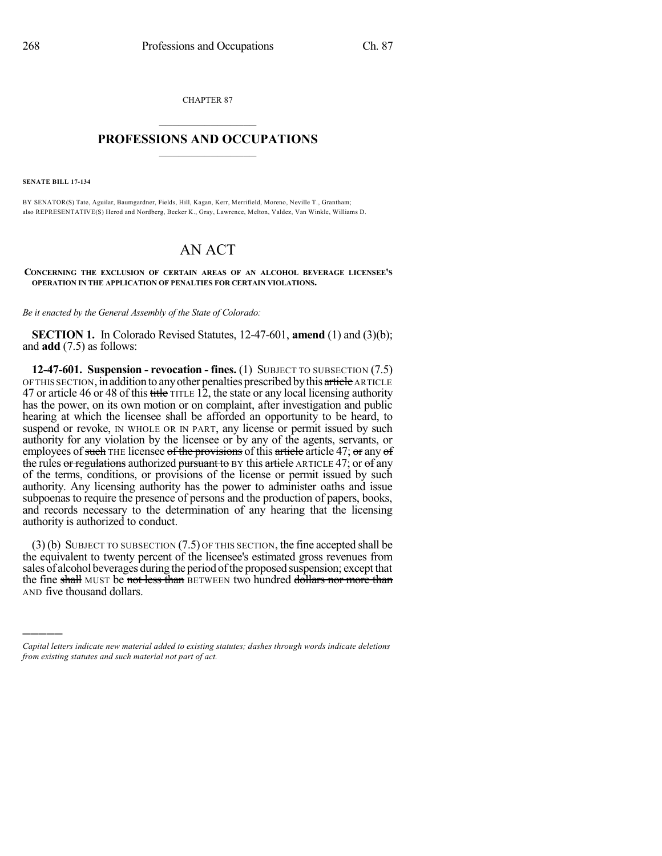CHAPTER 87

## $\overline{\phantom{a}}$  . The set of the set of the set of the set of the set of the set of the set of the set of the set of the set of the set of the set of the set of the set of the set of the set of the set of the set of the set o **PROFESSIONS AND OCCUPATIONS**  $\frac{1}{2}$  ,  $\frac{1}{2}$  ,  $\frac{1}{2}$  ,  $\frac{1}{2}$  ,  $\frac{1}{2}$  ,  $\frac{1}{2}$  ,  $\frac{1}{2}$

**SENATE BILL 17-134**

)))))

BY SENATOR(S) Tate, Aguilar, Baumgardner, Fields, Hill, Kagan, Kerr, Merrifield, Moreno, Neville T., Grantham; also REPRESENTATIVE(S) Herod and Nordberg, Becker K., Gray, Lawrence, Melton, Valdez, Van Winkle, Williams D.

## AN ACT

**CONCERNING THE EXCLUSION OF CERTAIN AREAS OF AN ALCOHOL BEVERAGE LICENSEE'S OPERATION IN THE APPLICATION OF PENALTIES FOR CERTAIN VIOLATIONS.**

*Be it enacted by the General Assembly of the State of Colorado:*

**SECTION 1.** In Colorado Revised Statutes, 12-47-601, **amend** (1) and (3)(b); and **add** (7.5) as follows:

**12-47-601. Suspension - revocation - fines.** (1) SUBJECT TO SUBSECTION (7.5) OF THIS SECTION, in addition to any other penalties prescribed by this article ARTICLE 47 or article 46 or 48 of this title TITLE 12, the state or any local licensing authority has the power, on its own motion or on complaint, after investigation and public hearing at which the licensee shall be afforded an opportunity to be heard, to suspend or revoke, IN WHOLE OR IN PART, any license or permit issued by such authority for any violation by the licensee or by any of the agents, servants, or employees of such THE licensee of the provisions of this article article 47; or any of the rules or regulations authorized pursuant to BY this article ARTICLE 47; or of any of the terms, conditions, or provisions of the license or permit issued by such authority. Any licensing authority has the power to administer oaths and issue subpoenas to require the presence of persons and the production of papers, books, and records necessary to the determination of any hearing that the licensing authority is authorized to conduct.

(3) (b) SUBJECT TO SUBSECTION (7.5) OF THIS SECTION, the fine accepted shall be the equivalent to twenty percent of the licensee's estimated gross revenues from sales of alcohol beverages during the period of the proposed suspension; except that the fine shall MUST be not less than BETWEEN two hundred dollars nor more than AND five thousand dollars.

*Capital letters indicate new material added to existing statutes; dashes through words indicate deletions from existing statutes and such material not part of act.*